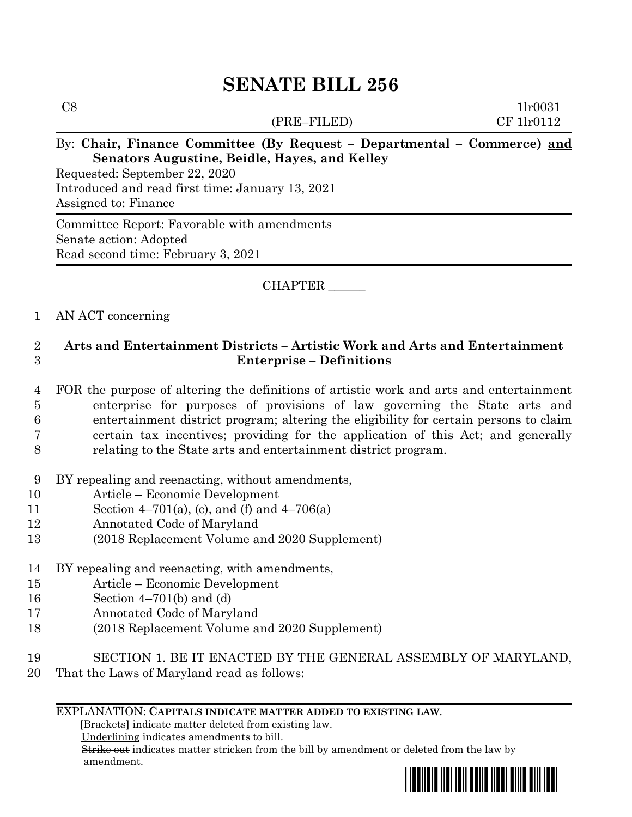# **SENATE BILL 256**

(PRE–FILED) CF 1lr0112

 $C8$  1lr0031

## By: **Chair, Finance Committee (By Request – Departmental – Commerce) and Senators Augustine, Beidle, Hayes, and Kelley**

Requested: September 22, 2020 Introduced and read first time: January 13, 2021 Assigned to: Finance

Committee Report: Favorable with amendments Senate action: Adopted Read second time: February 3, 2021

## CHAPTER \_\_\_\_\_\_

#### 1 AN ACT concerning

# 2 **Arts and Entertainment Districts – Artistic Work and Arts and Entertainment**  3 **Enterprise – Definitions**

- 4 FOR the purpose of altering the definitions of artistic work and arts and entertainment 5 enterprise for purposes of provisions of law governing the State arts and 6 entertainment district program; altering the eligibility for certain persons to claim 7 certain tax incentives; providing for the application of this Act; and generally 8 relating to the State arts and entertainment district program.
- 9 BY repealing and reenacting, without amendments,
- 10 Article Economic Development
- 11 Section 4–701(a), (c), and (f) and  $4-706(a)$
- 12 Annotated Code of Maryland
- 13 (2018 Replacement Volume and 2020 Supplement)
- 14 BY repealing and reenacting, with amendments,
- 15 Article Economic Development
- 16 Section 4–701(b) and (d)
- 17 Annotated Code of Maryland
- 18 (2018 Replacement Volume and 2020 Supplement)
- 19 SECTION 1. BE IT ENACTED BY THE GENERAL ASSEMBLY OF MARYLAND,
- 20 That the Laws of Maryland read as follows:

#### EXPLANATION: **CAPITALS INDICATE MATTER ADDED TO EXISTING LAW**.

 **[**Brackets**]** indicate matter deleted from existing law.

Underlining indicates amendments to bill.

 Strike out indicates matter stricken from the bill by amendment or deleted from the law by amendment.

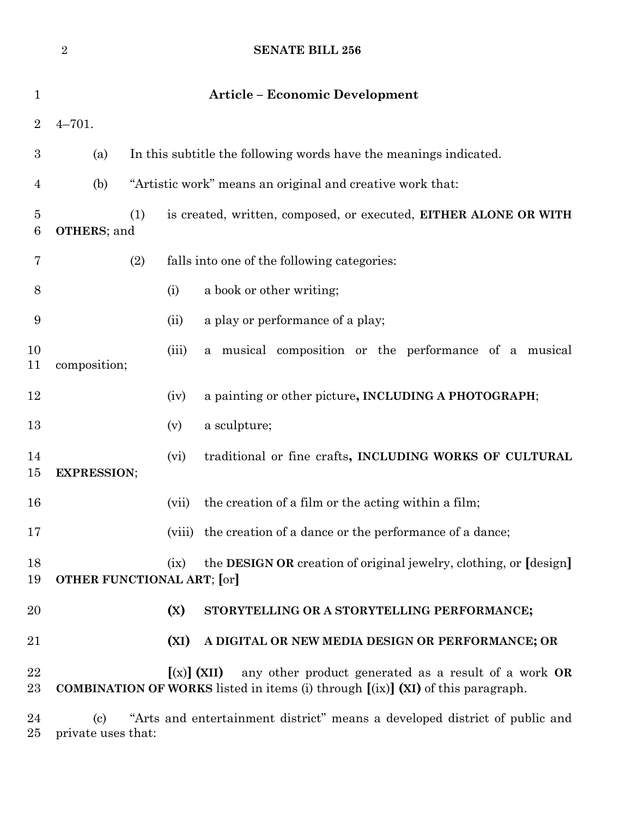|                | $\overline{2}$                                                                                                                                                    |                                                                         | <b>SENATE BILL 256</b>                                            |
|----------------|-------------------------------------------------------------------------------------------------------------------------------------------------------------------|-------------------------------------------------------------------------|-------------------------------------------------------------------|
| $\mathbf{1}$   |                                                                                                                                                                   |                                                                         | <b>Article - Economic Development</b>                             |
| $\overline{2}$ | $4 - 701.$                                                                                                                                                        |                                                                         |                                                                   |
| 3              | (a)                                                                                                                                                               |                                                                         | In this subtitle the following words have the meanings indicated. |
| 4              | "Artistic work" means an original and creative work that:<br>(b)                                                                                                  |                                                                         |                                                                   |
| 5<br>6         | <b>OTHERS</b> ; and                                                                                                                                               | (1)<br>is created, written, composed, or executed, EITHER ALONE OR WITH |                                                                   |
| 7              |                                                                                                                                                                   | (2)                                                                     | falls into one of the following categories:                       |
| 8              |                                                                                                                                                                   | (i)                                                                     | a book or other writing;                                          |
| 9              |                                                                                                                                                                   | (ii)                                                                    | a play or performance of a play;                                  |
| 10<br>11       | composition;                                                                                                                                                      | (iii)                                                                   | a musical composition or the performance of a musical             |
| 12             |                                                                                                                                                                   | (iv)                                                                    | a painting or other picture, INCLUDING A PHOTOGRAPH;              |
| 13             |                                                                                                                                                                   | (v)                                                                     | a sculpture;                                                      |
| 14<br>15       | <b>EXPRESSION;</b>                                                                                                                                                | (vi)                                                                    | traditional or fine crafts, INCLUDING WORKS OF CULTURAL           |
| 16             |                                                                                                                                                                   | (vii)                                                                   | the creation of a film or the acting within a film;               |
| 17             |                                                                                                                                                                   |                                                                         | (viii) the creation of a dance or the performance of a dance;     |
| 18<br>19       | the <b>DESIGN OR</b> creation of original jewelry, clothing, or <i>design</i><br>(ix)<br><b>OTHER FUNCTIONAL ART; [or]</b>                                        |                                                                         |                                                                   |
| 20             |                                                                                                                                                                   | (X)                                                                     | STORYTELLING OR A STORYTELLING PERFORMANCE;                       |
| 21             |                                                                                                                                                                   | (XI)                                                                    | A DIGITAL OR NEW MEDIA DESIGN OR PERFORMANCE; OR                  |
| 22<br>23       | $[(x)]$ (XII)<br>any other product generated as a result of a work OR<br><b>COMBINATION OF WORKS</b> listed in items (i) through $[(ix)]$ (XI) of this paragraph. |                                                                         |                                                                   |
| 24<br>25       | "Arts and entertainment district" means a developed district of public and<br>$\left( \mathrm{c}\right)$<br>private uses that:                                    |                                                                         |                                                                   |